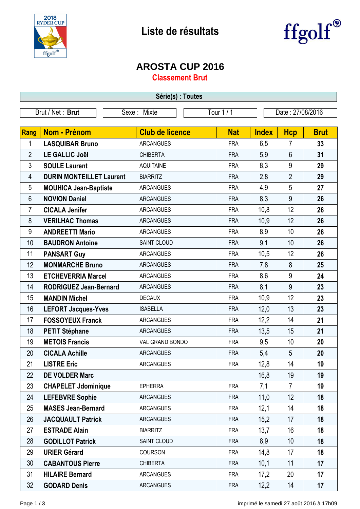



## **AROSTA CUP 2016**

**Classement Brut**

| Série(s) : Toutes |                                 |                        |            |                  |                |             |  |
|-------------------|---------------------------------|------------------------|------------|------------------|----------------|-------------|--|
|                   | Brut / Net: Brut                | Sexe: Mixte            | Tour 1 / 1 | Date: 27/08/2016 |                |             |  |
|                   |                                 |                        |            |                  |                |             |  |
| <b>Rang</b>       | <b>Nom - Prénom</b>             | <b>Club de licence</b> | <b>Nat</b> | <b>Index</b>     | <b>Hcp</b>     | <b>Brut</b> |  |
| 1                 | <b>LASQUIBAR Bruno</b>          | <b>ARCANGUES</b>       | <b>FRA</b> | 6,5              | 7              | 33          |  |
| $\overline{2}$    | <b>LE GALLIC Joël</b>           | <b>CHIBERTA</b>        | <b>FRA</b> | 5,9              | $6\phantom{1}$ | 31          |  |
| 3                 | <b>SOULE Laurent</b>            | <b>AQUITAINE</b>       | <b>FRA</b> | 8,3              | 9              | 29          |  |
| 4                 | <b>DURIN MONTEILLET Laurent</b> | <b>BIARRITZ</b>        | <b>FRA</b> | 2,8              | $\overline{2}$ | 29          |  |
| 5                 | <b>MOUHICA Jean-Baptiste</b>    | <b>ARCANGUES</b>       | <b>FRA</b> | 4,9              | 5              | 27          |  |
| 6                 | <b>NOVION Daniel</b>            | <b>ARCANGUES</b>       | <b>FRA</b> | 8,3              | 9              | 26          |  |
| $\overline{7}$    | <b>CICALA Jenifer</b>           | <b>ARCANGUES</b>       | <b>FRA</b> | 10,8             | 12             | 26          |  |
| 8                 | <b>VERILHAC Thomas</b>          | <b>ARCANGUES</b>       | <b>FRA</b> | 10,9             | 12             | 26          |  |
| $9\,$             | <b>ANDREETTI Mario</b>          | <b>ARCANGUES</b>       | <b>FRA</b> | 8,9              | 10             | 26          |  |
| 10                | <b>BAUDRON Antoine</b>          | SAINT CLOUD            | <b>FRA</b> | 9,1              | 10             | 26          |  |
| 11                | <b>PANSART Guy</b>              | <b>ARCANGUES</b>       | <b>FRA</b> | 10,5             | 12             | 26          |  |
| 12                | <b>MONMARCHE Bruno</b>          | <b>ARCANGUES</b>       | <b>FRA</b> | 7,8              | 8              | 25          |  |
| 13                | <b>ETCHEVERRIA Marcel</b>       | <b>ARCANGUES</b>       | <b>FRA</b> | 8,6              | 9              | 24          |  |
| 14                | <b>RODRIGUEZ Jean-Bernard</b>   | <b>ARCANGUES</b>       | <b>FRA</b> | 8,1              | 9              | 23          |  |
| 15                | <b>MANDIN Michel</b>            | <b>DECAUX</b>          | <b>FRA</b> | 10,9             | 12             | 23          |  |
| 16                | <b>LEFORT Jacques-Yves</b>      | <b>ISABELLA</b>        | <b>FRA</b> | 12,0             | 13             | 23          |  |
| 17                | <b>FOSSOYEUX Franck</b>         | <b>ARCANGUES</b>       | <b>FRA</b> | 12,2             | 14             | 21          |  |
| 18                | <b>PETIT Stéphane</b>           | <b>ARCANGUES</b>       | <b>FRA</b> | 13,5             | 15             | 21          |  |
| 19                | <b>METOIS Francis</b>           | VAL GRAND BONDO        | <b>FRA</b> | 9,5              | 10             | 20          |  |
| 20                | <b>CICALA Achille</b>           | <b>ARCANGUES</b>       | <b>FRA</b> | 5,4              | $\sqrt{5}$     | 20          |  |
| 21                | <b>LISTRE Eric</b>              | <b>ARCANGUES</b>       | <b>FRA</b> | 12,8             | 14             | 19          |  |
| 22                | <b>DE VOLDER Marc</b>           |                        |            | 16,8             | 19             | 19          |  |
| 23                | <b>CHAPELET Jdominique</b>      | <b>EPHERRA</b>         | <b>FRA</b> | 7,1              | $\overline{7}$ | 19          |  |
| 24                | <b>LEFEBVRE Sophie</b>          | <b>ARCANGUES</b>       | <b>FRA</b> | 11,0             | 12             | 18          |  |
| 25                | <b>MASES Jean-Bernard</b>       | <b>ARCANGUES</b>       | <b>FRA</b> | 12,1             | 14             | 18          |  |
| 26                | <b>JACQUAULT Patrick</b>        | <b>ARCANGUES</b>       | <b>FRA</b> | 15,2             | 17             | 18          |  |
| 27                | <b>ESTRADE Alain</b>            | <b>BIARRITZ</b>        | <b>FRA</b> | 13,7             | 16             | 18          |  |
| 28                | <b>GODILLOT Patrick</b>         | SAINT CLOUD            | <b>FRA</b> | 8,9              | 10             | 18          |  |
| 29                | <b>URIER Gérard</b>             | COURSON                | <b>FRA</b> | 14,8             | 17             | 18          |  |
| 30                | <b>CABANTOUS Pierre</b>         | <b>CHIBERTA</b>        | <b>FRA</b> | 10,1             | 11             | 17          |  |
| 31                | <b>HILAIRE Bernard</b>          | <b>ARCANGUES</b>       | <b>FRA</b> | 17,2             | 20             | 17          |  |
| 32                | <b>GODARD Denis</b>             | <b>ARCANGUES</b>       | <b>FRA</b> | 12,2             | 14             | 17          |  |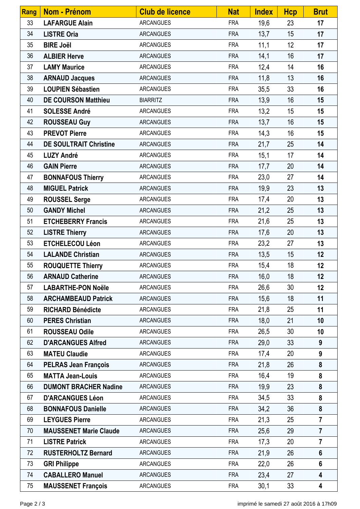| <b>Rang</b> | <b>Nom - Prénom</b>           | <b>Club de licence</b> | <b>Nat</b> | <b>Index</b> | <b>Hcp</b> | <b>Brut</b>      |
|-------------|-------------------------------|------------------------|------------|--------------|------------|------------------|
| 33          | <b>LAFARGUE Alain</b>         | <b>ARCANGUES</b>       | <b>FRA</b> | 19,6         | 23         | 17               |
| 34          | <b>LISTRE Oria</b>            | <b>ARCANGUES</b>       | <b>FRA</b> | 13,7         | 15         | 17               |
| 35          | <b>BIRE Joël</b>              | <b>ARCANGUES</b>       | <b>FRA</b> | 11,1         | 12         | 17               |
| 36          | <b>ALBIER Herve</b>           | <b>ARCANGUES</b>       | <b>FRA</b> | 14,1         | 16         | 17               |
| 37          | <b>LAMY Maurice</b>           | <b>ARCANGUES</b>       | <b>FRA</b> | 12,4         | 14         | 16               |
| 38          | <b>ARNAUD Jacques</b>         | <b>ARCANGUES</b>       | <b>FRA</b> | 11,8         | 13         | 16               |
| 39          | <b>LOUPIEN Sébastien</b>      | <b>ARCANGUES</b>       | <b>FRA</b> | 35,5         | 33         | 16               |
| 40          | <b>DE COURSON Matthieu</b>    | <b>BIARRITZ</b>        | <b>FRA</b> | 13,9         | 16         | 15               |
| 41          | <b>SOLESSE André</b>          | <b>ARCANGUES</b>       | <b>FRA</b> | 13,2         | 15         | 15               |
| 42          | <b>ROUSSEAU Guy</b>           | <b>ARCANGUES</b>       | <b>FRA</b> | 13,7         | 16         | 15               |
| 43          | <b>PREVOT Pierre</b>          | <b>ARCANGUES</b>       | <b>FRA</b> | 14,3         | 16         | 15               |
| 44          | <b>DE SOULTRAIT Christine</b> | <b>ARCANGUES</b>       | <b>FRA</b> | 21,7         | 25         | 14               |
| 45          | <b>LUZY André</b>             | <b>ARCANGUES</b>       | <b>FRA</b> | 15,1         | 17         | 14               |
| 46          | <b>GAIN Pierre</b>            | <b>ARCANGUES</b>       | <b>FRA</b> | 17,7         | 20         | 14               |
| 47          | <b>BONNAFOUS Thierry</b>      | <b>ARCANGUES</b>       | <b>FRA</b> | 23,0         | 27         | 14               |
| 48          | <b>MIGUEL Patrick</b>         | <b>ARCANGUES</b>       | <b>FRA</b> | 19,9         | 23         | 13               |
| 49          | <b>ROUSSEL Serge</b>          | <b>ARCANGUES</b>       | <b>FRA</b> | 17,4         | 20         | 13               |
| 50          | <b>GANDY Michel</b>           | <b>ARCANGUES</b>       | <b>FRA</b> | 21,2         | 25         | 13               |
| 51          | <b>ETCHEBERRY Francis</b>     | <b>ARCANGUES</b>       | <b>FRA</b> | 21,6         | 25         | 13               |
| 52          | <b>LISTRE Thierry</b>         | <b>ARCANGUES</b>       | <b>FRA</b> | 17,6         | 20         | 13               |
| 53          | <b>ETCHELECOU Léon</b>        | <b>ARCANGUES</b>       | <b>FRA</b> | 23,2         | 27         | 13               |
| 54          | <b>LALANDE Christian</b>      | <b>ARCANGUES</b>       | <b>FRA</b> | 13,5         | 15         | 12               |
| 55          | <b>ROUQUETTE Thierry</b>      | <b>ARCANGUES</b>       | <b>FRA</b> | 15,4         | 18         | 12               |
| 56          | <b>ARNAUD Catherine</b>       | <b>ARCANGUES</b>       | <b>FRA</b> | 16,0         | 18         | 12               |
| 57          | <b>LABARTHE-PON Noële</b>     | <b>ARCANGUES</b>       | <b>FRA</b> | 26,6         | 30         | 12               |
| 58          | <b>ARCHAMBEAUD Patrick</b>    | <b>ARCANGUES</b>       | <b>FRA</b> | 15,6         | 18         | 11               |
| 59          | <b>RICHARD Bénédicte</b>      | <b>ARCANGUES</b>       | <b>FRA</b> | 21,8         | 25         | 11               |
| 60          | <b>PERES Christian</b>        | <b>ARCANGUES</b>       | <b>FRA</b> | 18,0         | 21         | 10               |
| 61          | <b>ROUSSEAU Odile</b>         | <b>ARCANGUES</b>       | <b>FRA</b> | 26,5         | 30         | 10               |
| 62          | <b>D'ARCANGUES Alfred</b>     | <b>ARCANGUES</b>       | <b>FRA</b> | 29,0         | 33         | 9                |
| 63          | <b>MATEU Claudie</b>          | <b>ARCANGUES</b>       | <b>FRA</b> | 17,4         | 20         | 9                |
| 64          | <b>PELRAS Jean François</b>   | <b>ARCANGUES</b>       | <b>FRA</b> | 21,8         | 26         | 8                |
| 65          | <b>MATTA Jean-Louis</b>       | <b>ARCANGUES</b>       | <b>FRA</b> | 16,4         | 19         | 8                |
| 66          | <b>DUMONT BRACHER Nadine</b>  | <b>ARCANGUES</b>       | <b>FRA</b> | 19,9         | 23         | $\boldsymbol{8}$ |
| 67          | <b>D'ARCANGUES Léon</b>       | <b>ARCANGUES</b>       | <b>FRA</b> | 34,5         | 33         | 8                |
| 68          | <b>BONNAFOUS Danielle</b>     | <b>ARCANGUES</b>       | <b>FRA</b> | 34,2         | 36         | 8                |
| 69          | <b>LEYGUES Pierre</b>         | <b>ARCANGUES</b>       | <b>FRA</b> | 21,3         | 25         | $\overline{7}$   |
| 70          | <b>MAUSSENET Marie Claude</b> | <b>ARCANGUES</b>       | <b>FRA</b> | 25,6         | 29         | $\overline{7}$   |
| 71          | <b>LISTRE Patrick</b>         | <b>ARCANGUES</b>       | <b>FRA</b> | 17,3         | 20         | $\overline{7}$   |
| 72          | <b>RUSTERHOLTZ Bernard</b>    | <b>ARCANGUES</b>       | <b>FRA</b> | 21,9         | 26         | $6\phantom{1}$   |
| 73          | <b>GRI Philippe</b>           | <b>ARCANGUES</b>       | <b>FRA</b> | 22,0         | 26         | $6\phantom{1}$   |
| 74          | <b>CABALLERO Manuel</b>       | <b>ARCANGUES</b>       | <b>FRA</b> | 23,4         | 27         | 4                |
| 75          | <b>MAUSSENET François</b>     | <b>ARCANGUES</b>       | <b>FRA</b> | 30,1         | 33         | 4                |